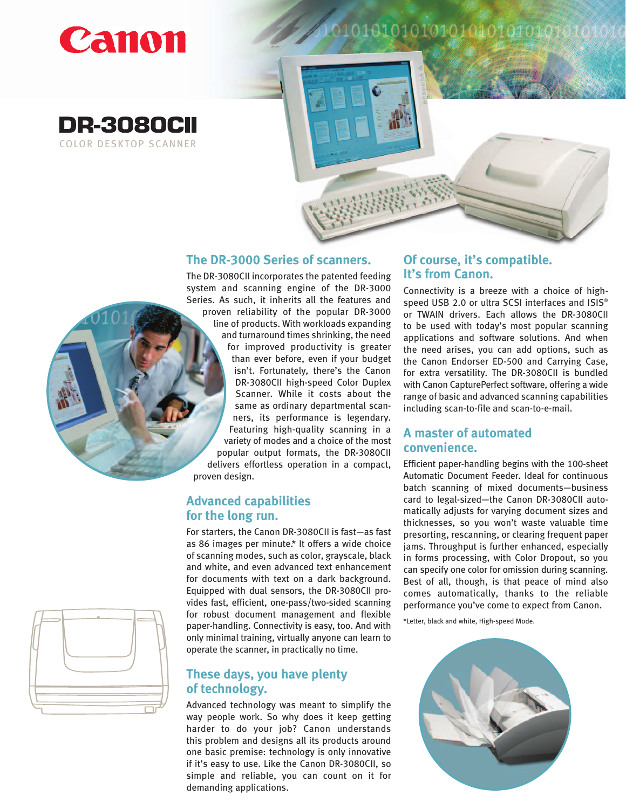







#### **The DR-3000 Series of scanners.**

The DR-3080CII incorporates the patented feeding system and scanning engine of the DR-3000 Series. As such, it inherits all the features and proven reliability of the popular DR-3000 line of products. With workloads expanding and turnaround times shrinking, the need for improved productivity is greater than ever before, even if your budget isn't. Fortunately, there's the Canon DR-3080CII high-speed Color Duplex Scanner. While it costs about the same as ordinary departmental scanners, its performance is legendary. Featuring high-quality scanning in a variety of modes and a choice of the most popular output formats, the DR-3080CII delivers effortless operation in a compact, proven design.

## **Advanced capabilities for the long run.**

For starters, the Canon DR-3080CII is fast—as fast as 86 images per minute.\* It offers a wide choice of scanning modes, such as color, grayscale, black and white, and even advanced text enhancement for documents with text on a dark background. Equipped with dual sensors, the DR-3080CII provides fast, efficient, one-pass/two-sided scanning for robust document management and flexible paper-handling. Connectivity is easy, too. And with only minimal training, virtually anyone can learn to operate the scanner, in practically no time.

# **These days, you have plenty of technology.**

Advanced technology was meant to simplify the way people work. So why does it keep getting harder to do your job? Canon understands this problem and designs all its products around one basic premise: technology is only innovative if it's easy to use. Like the Canon DR-3080CII, so simple and reliable, you can count on it for demanding applications.

## **Of course, it's compatible. It's from Canon.**

Connectivity is a breeze with a choice of highspeed USB 2.0 or ultra SCSI interfaces and ISIS® or TWAIN drivers. Each allows the DR-3080CII to be used with today's most popular scanning applications and software solutions. And when the need arises, you can add options, such as the Canon Endorser ED-500 and Carrying Case, for extra versatility. The DR-3080CII is bundled with Canon CapturePerfect software, offering a wide range of basic and advanced scanning capabilities including scan-to-file and scan-to-e-mail.

## **A master of automated convenience.**

Efficient paper-handling begins with the 100-sheet Automatic Document Feeder. Ideal for continuous batch scanning of mixed documents—business card to legal-sized—the Canon DR-3080CII automatically adjusts for varying document sizes and thicknesses, so you won't waste valuable time presorting, rescanning, or clearing frequent paper jams. Throughput is further enhanced, especially in forms processing, with Color Dropout, so you can specify one color for omission during scanning. Best of all, though, is that peace of mind also comes automatically, thanks to the reliable performance you've come to expect from Canon.

\*Letter, black and white, High-speed Mode.